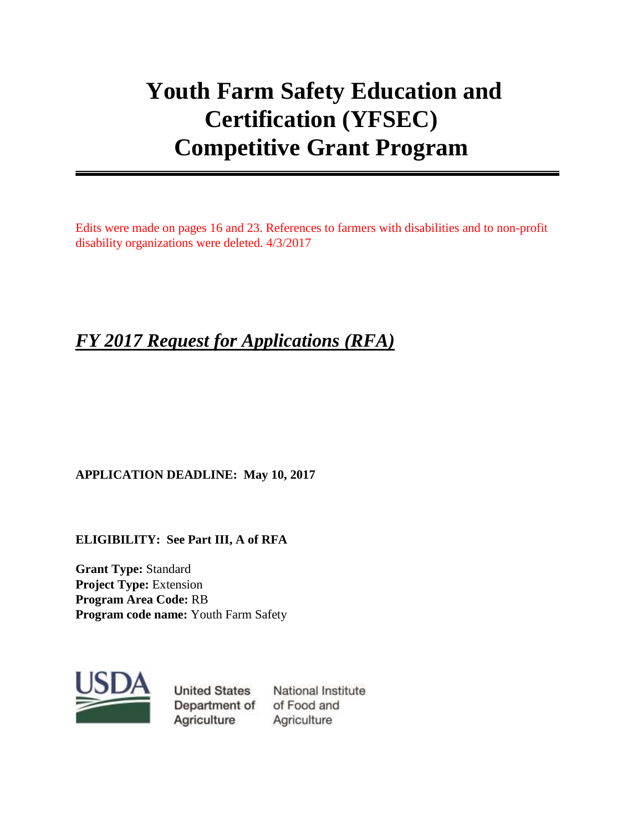# **Youth Farm Safety Education and Certification (YFSEC) Competitive Grant Program**

Edits were made on pages 16 and 23. References to farmers with disabilities and to non-profit disability organizations were deleted. 4/3/2017

## *FY 2017 Request for Applications (RFA)*

#### **APPLICATION DEADLINE: May 10, 2017**

**ELIGIBILITY: See Part III, A of RFA**

**Grant Type:** Standard **Project Type:** Extension **Program Area Code:** RB **Program code name:** Youth Farm Safety



**United States** Department of Agriculture

National Institute of Food and Agriculture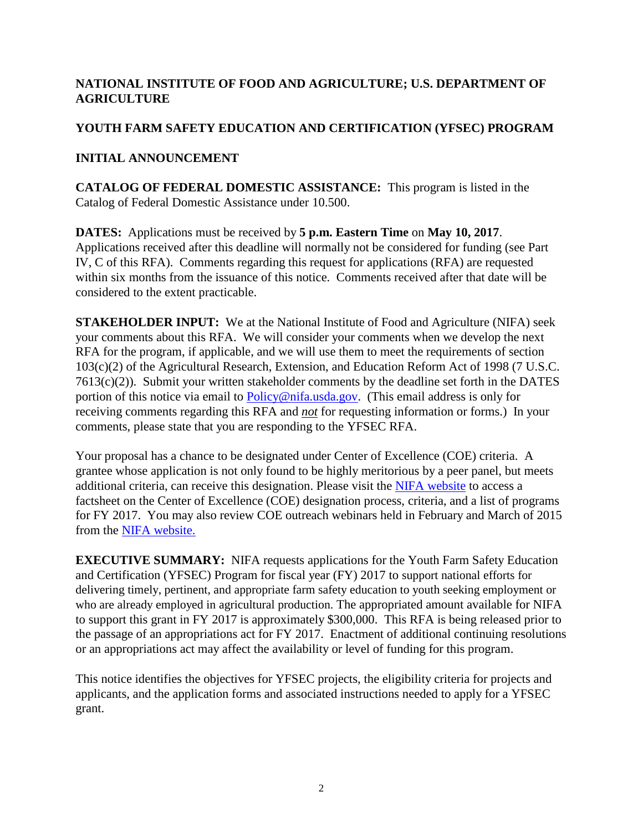#### **NATIONAL INSTITUTE OF FOOD AND AGRICULTURE; U.S. DEPARTMENT OF AGRICULTURE**

#### **YOUTH FARM SAFETY EDUCATION AND CERTIFICATION (YFSEC) PROGRAM**

#### **INITIAL ANNOUNCEMENT**

**CATALOG OF FEDERAL DOMESTIC ASSISTANCE:** This program is listed in the Catalog of Federal Domestic Assistance under 10.500.

**DATES:** Applications must be received by **5 p.m. Eastern Time** on **May 10, 2017**. Applications received after this deadline will normally not be considered for funding (see Part IV, C of this RFA). Comments regarding this request for applications (RFA) are requested within six months from the issuance of this notice. Comments received after that date will be considered to the extent practicable.

**STAKEHOLDER INPUT:** We at the National Institute of Food and Agriculture (NIFA) seek your comments about this RFA. We will consider your comments when we develop the next RFA for the program, if applicable, and we will use them to meet the requirements of section 103(c)(2) of the Agricultural Research, Extension, and Education Reform Act of 1998 (7 U.S.C. 7613(c)(2)). Submit your written stakeholder comments by the deadline set forth in the DATES portion of this notice via email to [Policy@nifa.usda.gov.](mailto:Policy@nifa.usda.gov) (This email address is only for receiving comments regarding this RFA and *not* for requesting information or forms.) In your comments, please state that you are responding to the YFSEC RFA.

Your proposal has a chance to be designated under Center of Excellence (COE) criteria. A grantee whose application is not only found to be highly meritorious by a peer panel, but meets additional criteria, can receive this designation. Please visit the [NIFA website](http://nifa.usda.gov/centers-excellence) to access a factsheet on the Center of Excellence (COE) designation process, criteria, and a list of programs for FY 2017. You may also review COE outreach webinars held in February and March of 2015 from the [NIFA website.](https://nifa.usda.gov/resource/centers-excellence-webinars)

**EXECUTIVE SUMMARY:** NIFA requests applications for the Youth Farm Safety Education and Certification (YFSEC) Program for fiscal year (FY) 2017 to support national efforts for delivering timely, pertinent, and appropriate farm safety education to youth seeking employment or who are already employed in agricultural production. The appropriated amount available for NIFA to support this grant in FY 2017 is approximately \$300,000. This RFA is being released prior to the passage of an appropriations act for FY 2017. Enactment of additional continuing resolutions or an appropriations act may affect the availability or level of funding for this program.

This notice identifies the objectives for YFSEC projects, the eligibility criteria for projects and applicants, and the application forms and associated instructions needed to apply for a YFSEC grant.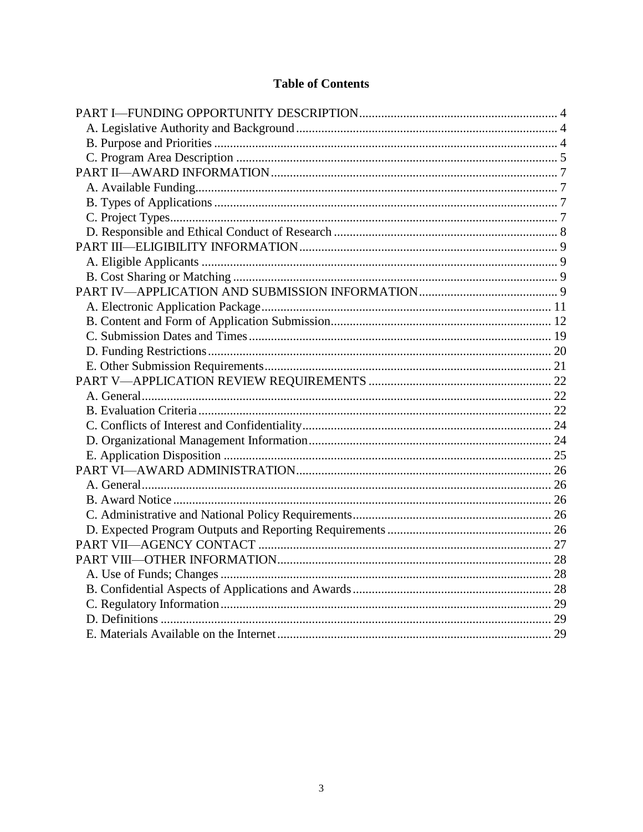#### **Table of Contents**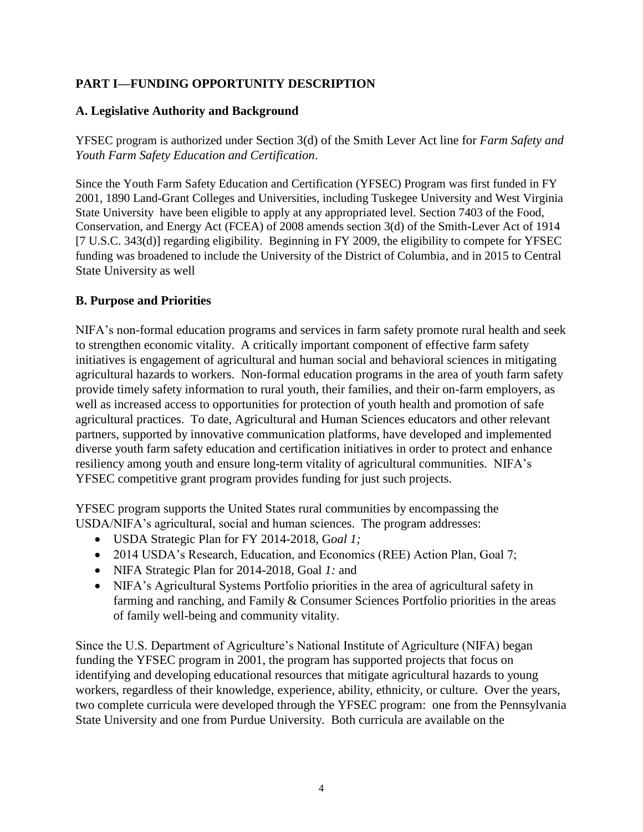#### <span id="page-3-0"></span>**PART I—FUNDING OPPORTUNITY DESCRIPTION**

#### <span id="page-3-1"></span>**A. Legislative Authority and Background**

YFSEC program is authorized under Section 3(d) of the Smith Lever Act line for *Farm Safety and Youth Farm Safety Education and Certification*.

Since the Youth Farm Safety Education and Certification (YFSEC) Program was first funded in FY 2001, 1890 Land-Grant Colleges and Universities, including Tuskegee University and West Virginia State University have been eligible to apply at any appropriated level. Section 7403 of the Food, Conservation, and Energy Act (FCEA) of 2008 amends section 3(d) of the Smith-Lever Act of 1914 [7 U.S.C. 343(d)] regarding eligibility. Beginning in FY 2009, the eligibility to compete for YFSEC funding was broadened to include the University of the District of Columbia, and in 2015 to Central State University as well

#### <span id="page-3-2"></span>**B. Purpose and Priorities**

NIFA's non-formal education programs and services in farm safety promote rural health and seek to strengthen economic vitality. A critically important component of effective farm safety initiatives is engagement of agricultural and human social and behavioral sciences in mitigating agricultural hazards to workers. Non-formal education programs in the area of youth farm safety provide timely safety information to rural youth, their families, and their on-farm employers, as well as increased access to opportunities for protection of youth health and promotion of safe agricultural practices. To date, Agricultural and Human Sciences educators and other relevant partners, supported by innovative communication platforms, have developed and implemented diverse youth farm safety education and certification initiatives in order to protect and enhance resiliency among youth and ensure long-term vitality of agricultural communities. NIFA's YFSEC competitive grant program provides funding for just such projects.

YFSEC program supports the United States rural communities by encompassing the USDA/NIFA's agricultural, social and human sciences. The program addresses:

- USDA Strategic Plan for FY 2014-2018, G*oal 1;*
- 2014 USDA's Research, Education, and Economics (REE) Action Plan, Goal 7;
- NIFA Strategic Plan for 2014-2018, Goal *1:* and
- NIFA's Agricultural Systems Portfolio priorities in the area of agricultural safety in farming and ranching, and Family & Consumer Sciences Portfolio priorities in the areas of family well-being and community vitality.

Since the U.S. Department of Agriculture's National Institute of Agriculture (NIFA) began funding the YFSEC program in 2001, the program has supported projects that focus on identifying and developing educational resources that mitigate agricultural hazards to young workers, regardless of their knowledge, experience, ability, ethnicity, or culture. Over the years, two complete curricula were developed through the YFSEC program: one from the Pennsylvania State University and one from Purdue University. Both curricula are available on the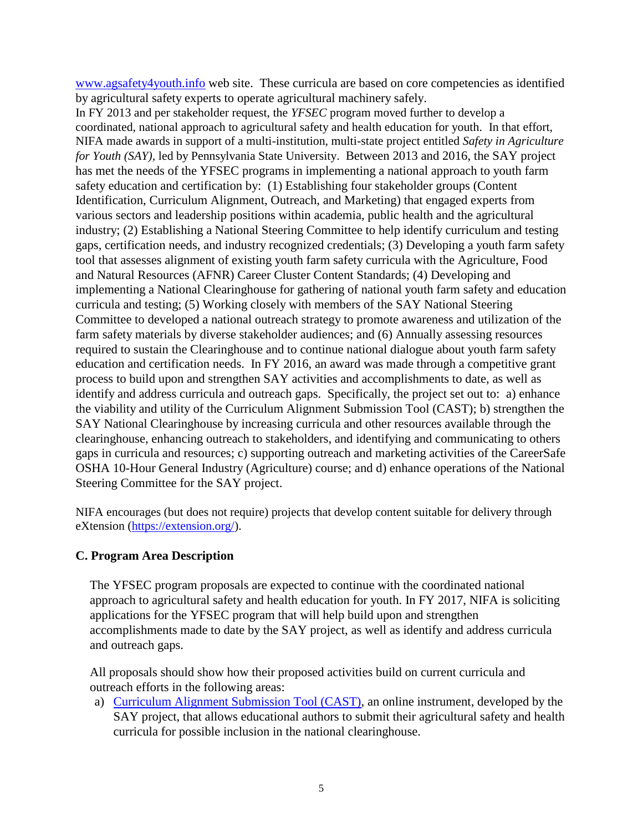[www.agsafety4youth.info](http://www.agsafety4youth.info/) web site. These curricula are based on core competencies as identified by agricultural safety experts to operate agricultural machinery safely.

In FY 2013 and per stakeholder request, the *YFSEC* program moved further to develop a coordinated, national approach to agricultural safety and health education for youth. In that effort, NIFA made awards in support of a multi-institution, multi-state project entitled *Safety in Agriculture for Youth (SAY),* led by Pennsylvania State University. Between 2013 and 2016, the SAY project has met the needs of the YFSEC programs in implementing a national approach to youth farm safety education and certification by: (1) Establishing four stakeholder groups (Content Identification, Curriculum Alignment, Outreach, and Marketing) that engaged experts from various sectors and leadership positions within academia, public health and the agricultural industry; (2) Establishing a National Steering Committee to help identify curriculum and testing gaps, certification needs, and industry recognized credentials; (3) Developing a youth farm safety tool that assesses alignment of existing youth farm safety curricula with the Agriculture, Food and Natural Resources (AFNR) Career Cluster Content Standards; (4) Developing and implementing a National Clearinghouse for gathering of national youth farm safety and education curricula and testing; (5) Working closely with members of the SAY National Steering Committee to developed a national outreach strategy to promote awareness and utilization of the farm safety materials by diverse stakeholder audiences; and (6) Annually assessing resources required to sustain the Clearinghouse and to continue national dialogue about youth farm safety education and certification needs. In FY 2016, an award was made through a competitive grant process to build upon and strengthen SAY activities and accomplishments to date, as well as identify and address curricula and outreach gaps. Specifically, the project set out to: a) enhance the viability and utility of the Curriculum Alignment Submission Tool (CAST); b) strengthen the SAY National Clearinghouse by increasing curricula and other resources available through the clearinghouse, enhancing outreach to stakeholders, and identifying and communicating to others gaps in curricula and resources; c) supporting outreach and marketing activities of the CareerSafe OSHA 10-Hour General Industry (Agriculture) course; and d) enhance operations of the National Steering Committee for the SAY project.

NIFA encourages (but does not require) projects that develop content suitable for delivery through eXtension [\(https://extension.org/\)](https://extension.org/).

#### <span id="page-4-0"></span>**C. Program Area Description**

The YFSEC program proposals are expected to continue with the coordinated national approach to agricultural safety and health education for youth. In FY 2017, NIFA is soliciting applications for the YFSEC program that will help build upon and strengthen accomplishments made to date by the SAY project, as well as identify and address curricula and outreach gaps.

All proposals should show how their proposed activities build on current curricula and outreach efforts in the following areas:

a) [Curriculum Alignment Submission Tool \(CAST\),](http://articles.extension.org/pages/71694/user-directions-for-the-say-curriculum-alignment-submission-tool) an online instrument, developed by the SAY project, that allows educational authors to submit their agricultural safety and health curricula for possible inclusion in the national clearinghouse.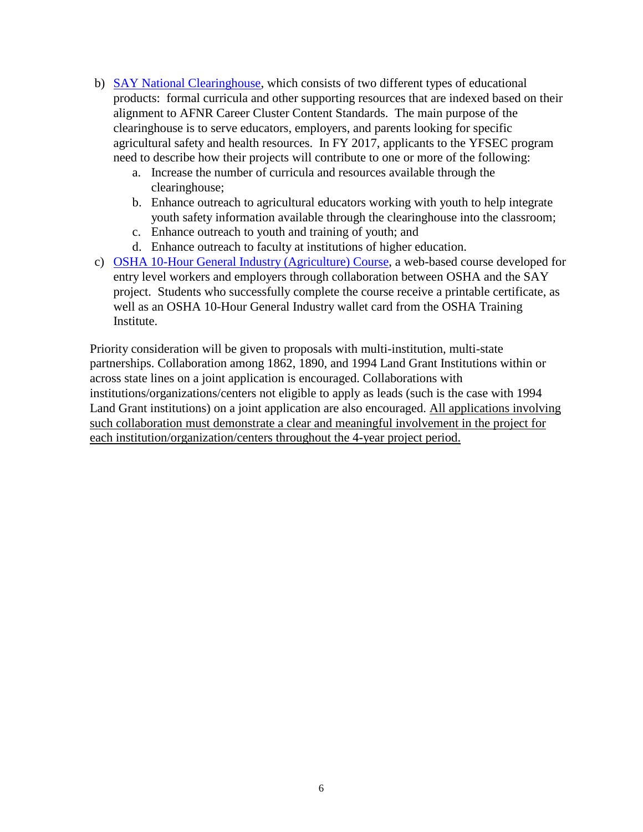- b) [SAY National Clearinghouse,](http://extension.psu.edu/business/ag-safety/youth-safety/say-project) which consists of two different types of educational products: formal curricula and other supporting resources that are indexed based on their alignment to AFNR Career Cluster Content Standards. The main purpose of the clearinghouse is to serve educators, employers, and parents looking for specific agricultural safety and health resources. In FY 2017, applicants to the YFSEC program need to describe how their projects will contribute to one or more of the following:
	- a. Increase the number of curricula and resources available through the clearinghouse;
	- b. Enhance outreach to agricultural educators working with youth to help integrate youth safety information available through the clearinghouse into the classroom;
	- c. Enhance outreach to youth and training of youth; and
	- d. Enhance outreach to faculty at institutions of higher education.
- c) [OSHA 10-Hour General Industry \(Agriculture\) Course,](http://www.careersafeonline.com/index.php/component/content/article/9-courses/90-osha-10-hour-general-industry-ag) a web-based course developed for entry level workers and employers through collaboration between OSHA and the SAY project. Students who successfully complete the course receive a printable certificate, as well as an OSHA 10-Hour General Industry wallet card from the OSHA Training Institute.

Priority consideration will be given to proposals with multi-institution, multi-state partnerships. Collaboration among 1862, 1890, and 1994 Land Grant Institutions within or across state lines on a joint application is encouraged. Collaborations with institutions/organizations/centers not eligible to apply as leads (such is the case with 1994 Land Grant institutions) on a joint application are also encouraged. All applications involving such collaboration must demonstrate a clear and meaningful involvement in the project for each institution/organization/centers throughout the 4-year project period.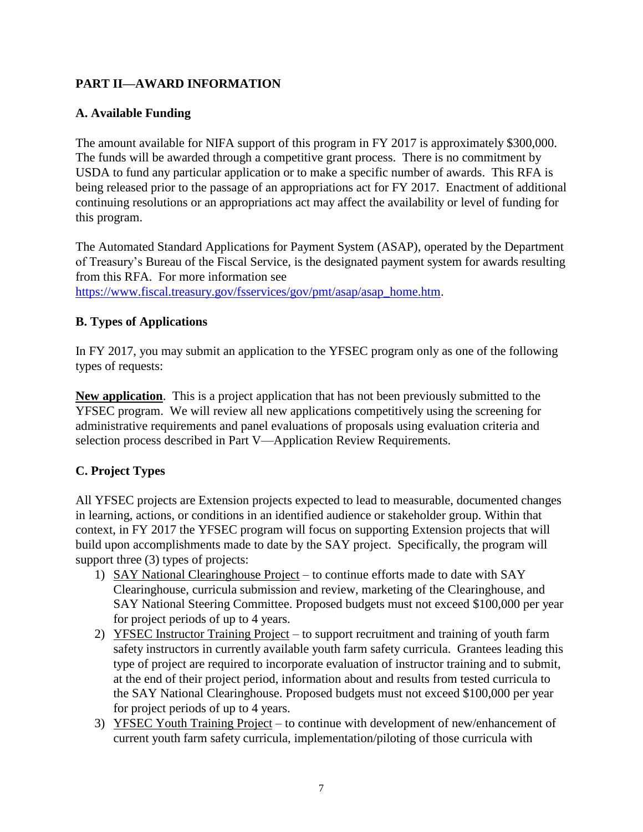#### <span id="page-6-0"></span>**PART II—AWARD INFORMATION**

#### <span id="page-6-1"></span>**A. Available Funding**

The amount available for NIFA support of this program in FY 2017 is approximately \$300,000. The funds will be awarded through a competitive grant process. There is no commitment by USDA to fund any particular application or to make a specific number of awards. This RFA is being released prior to the passage of an appropriations act for FY 2017. Enactment of additional continuing resolutions or an appropriations act may affect the availability or level of funding for this program.

The Automated Standard Applications for Payment System (ASAP), operated by the Department of Treasury's Bureau of the Fiscal Service, is the designated payment system for awards resulting from this RFA. For more information see [https://www.fiscal.treasury.gov/fsservices/gov/pmt/asap/asap\\_home.htm.](https://www.fiscal.treasury.gov/fsservices/gov/pmt/asap/asap_home.htm)

#### <span id="page-6-2"></span>**B. Types of Applications**

In FY 2017, you may submit an application to the YFSEC program only as one of the following types of requests:

**New application**. This is a project application that has not been previously submitted to the YFSEC program. We will review all new applications competitively using the screening for administrative requirements and panel evaluations of proposals using evaluation criteria and selection process described in Part V—Application Review Requirements.

#### <span id="page-6-3"></span>**C. Project Types**

All YFSEC projects are Extension projects expected to lead to measurable, documented changes in learning, actions, or conditions in an identified audience or stakeholder group. Within that context, in FY 2017 the YFSEC program will focus on supporting Extension projects that will build upon accomplishments made to date by the SAY project. Specifically, the program will support three (3) types of projects:

- 1) SAY National Clearinghouse Project to continue efforts made to date with SAY Clearinghouse, curricula submission and review, marketing of the Clearinghouse, and SAY National Steering Committee. Proposed budgets must not exceed \$100,000 per year for project periods of up to 4 years.
- 2) YFSEC Instructor Training Project to support recruitment and training of youth farm safety instructors in currently available youth farm safety curricula. Grantees leading this type of project are required to incorporate evaluation of instructor training and to submit, at the end of their project period, information about and results from tested curricula to the SAY National Clearinghouse. Proposed budgets must not exceed \$100,000 per year for project periods of up to 4 years.
- 3) YFSEC Youth Training Project to continue with development of new/enhancement of current youth farm safety curricula, implementation/piloting of those curricula with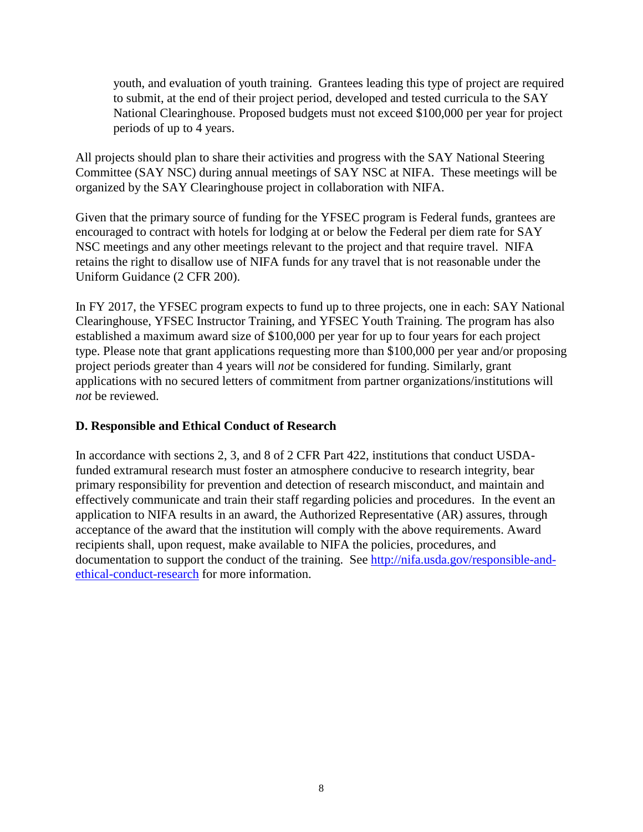youth, and evaluation of youth training. Grantees leading this type of project are required to submit, at the end of their project period, developed and tested curricula to the SAY National Clearinghouse. Proposed budgets must not exceed \$100,000 per year for project periods of up to 4 years.

All projects should plan to share their activities and progress with the SAY National Steering Committee (SAY NSC) during annual meetings of SAY NSC at NIFA. These meetings will be organized by the SAY Clearinghouse project in collaboration with NIFA.

Given that the primary source of funding for the YFSEC program is Federal funds, grantees are encouraged to contract with hotels for lodging at or below the Federal per diem rate for SAY NSC meetings and any other meetings relevant to the project and that require travel. NIFA retains the right to disallow use of NIFA funds for any travel that is not reasonable under the Uniform Guidance (2 CFR 200).

In FY 2017, the YFSEC program expects to fund up to three projects, one in each: SAY National Clearinghouse, YFSEC Instructor Training, and YFSEC Youth Training. The program has also established a maximum award size of \$100,000 per year for up to four years for each project type. Please note that grant applications requesting more than \$100,000 per year and/or proposing project periods greater than 4 years will *not* be considered for funding. Similarly, grant applications with no secured letters of commitment from partner organizations/institutions will *not* be reviewed.

#### <span id="page-7-0"></span>**D. Responsible and Ethical Conduct of Research**

<span id="page-7-1"></span>In accordance with sections 2, 3, and 8 of 2 CFR Part 422, institutions that conduct USDAfunded extramural research must foster an atmosphere conducive to research integrity, bear primary responsibility for prevention and detection of research misconduct, and maintain and effectively communicate and train their staff regarding policies and procedures. In the event an application to NIFA results in an award, the Authorized Representative (AR) assures, through acceptance of the award that the institution will comply with the above requirements. Award recipients shall, upon request, make available to NIFA the policies, procedures, and documentation to support the conduct of the training. See [http://nifa.usda.gov/responsible-and](http://nifa.usda.gov/responsible-and-ethical-conduct-research)[ethical-conduct-research](http://nifa.usda.gov/responsible-and-ethical-conduct-research) for more information.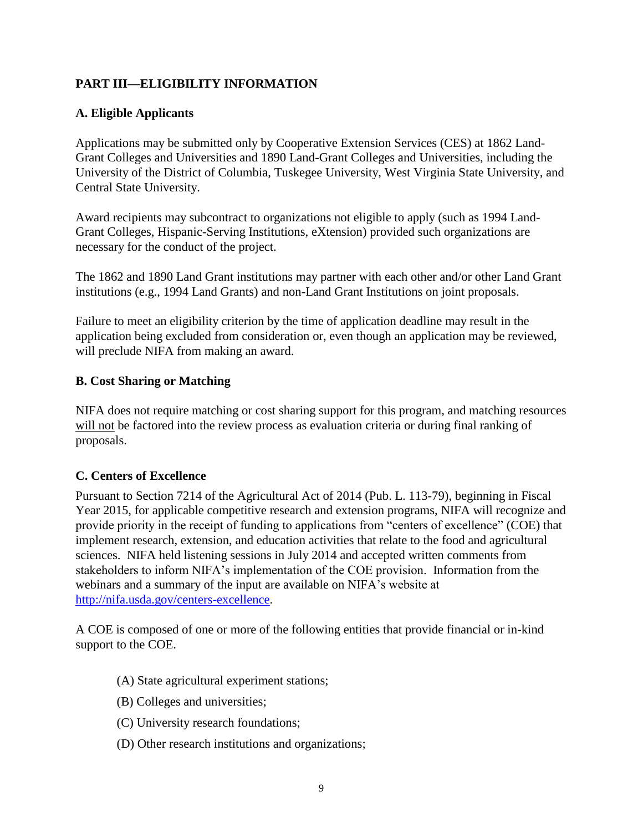#### **PART III—ELIGIBILITY INFORMATION**

#### <span id="page-8-0"></span>**A. Eligible Applicants**

Applications may be submitted only by Cooperative Extension Services (CES) at 1862 Land-Grant Colleges and Universities and 1890 Land-Grant Colleges and Universities, including the University of the District of Columbia, Tuskegee University, West Virginia State University, and Central State University.

Award recipients may subcontract to organizations not eligible to apply (such as 1994 Land-Grant Colleges, Hispanic-Serving Institutions, eXtension) provided such organizations are necessary for the conduct of the project.

The 1862 and 1890 Land Grant institutions may partner with each other and/or other Land Grant institutions (e.g., 1994 Land Grants) and non-Land Grant Institutions on joint proposals.

Failure to meet an eligibility criterion by the time of application deadline may result in the application being excluded from consideration or, even though an application may be reviewed, will preclude NIFA from making an award.

#### <span id="page-8-1"></span>**B. Cost Sharing or Matching**

<span id="page-8-2"></span>NIFA does not require matching or cost sharing support for this program, and matching resources will not be factored into the review process as evaluation criteria or during final ranking of proposals.

#### **C. Centers of Excellence**

Pursuant to Section 7214 of the Agricultural Act of 2014 (Pub. L. 113-79), beginning in Fiscal Year 2015, for applicable competitive research and extension programs, NIFA will recognize and provide priority in the receipt of funding to applications from "centers of excellence" (COE) that implement research, extension, and education activities that relate to the food and agricultural sciences. NIFA held listening sessions in July 2014 and accepted written comments from stakeholders to inform NIFA's implementation of the COE provision. Information from the webinars and a summary of the input are available on NIFA's website at [http://nifa.usda.gov/centers-excellence.](http://nifa.usda.gov/centers-excellence)

A COE is composed of one or more of the following entities that provide financial or in-kind support to the COE.

- (A) State agricultural experiment stations;
- (B) Colleges and universities;
- (C) University research foundations;
- (D) Other research institutions and organizations;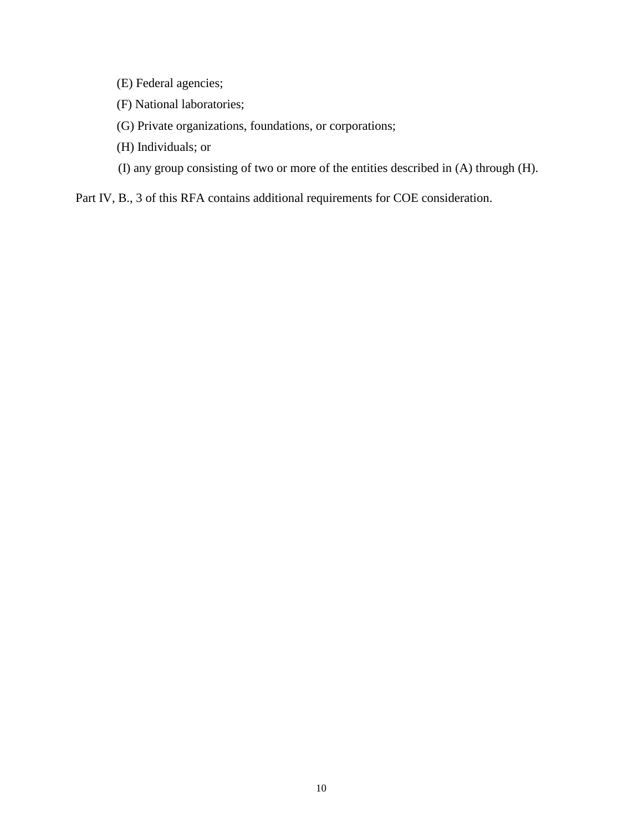- (E) Federal agencies;
- (F) National laboratories;
- (G) Private organizations, foundations, or corporations;
- (H) Individuals; or
- (I) any group consisting of two or more of the entities described in (A) through (H).

Part IV, B., 3 of this RFA contains additional requirements for COE consideration.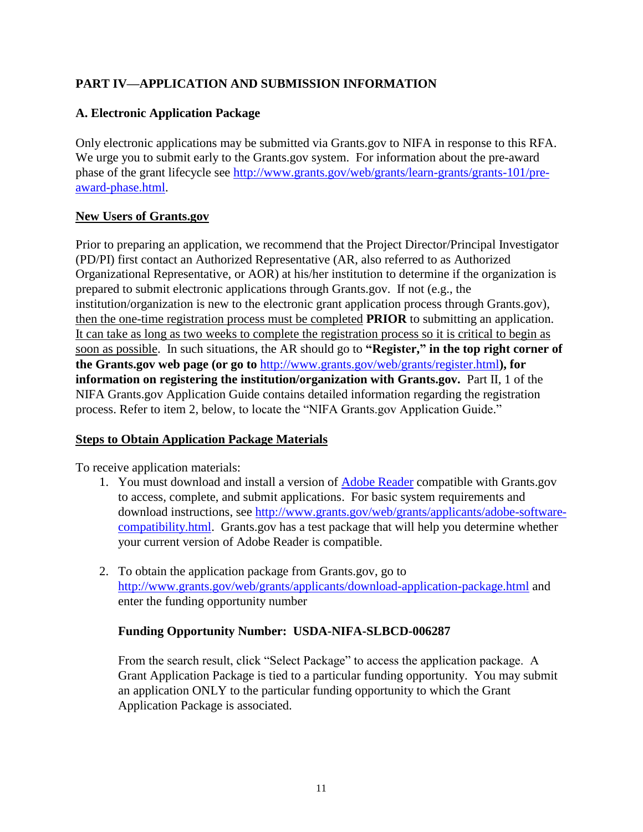#### **PART IV—APPLICATION AND SUBMISSION INFORMATION**

#### <span id="page-10-0"></span>**A. Electronic Application Package**

Only electronic applications may be submitted via Grants.gov to NIFA in response to this RFA. We urge you to submit early to the Grants.gov system. For information about the pre-award phase of the grant lifecycle see [http://www.grants.gov/web/grants/learn-grants/grants-101/pre](http://www.grants.gov/web/grants/learn-grants/grants-101/pre-award-phase.html)[award-phase.html.](http://www.grants.gov/web/grants/learn-grants/grants-101/pre-award-phase.html)

#### **New Users of Grants.gov**

Prior to preparing an application, we recommend that the Project Director/Principal Investigator (PD/PI) first contact an Authorized Representative (AR, also referred to as Authorized Organizational Representative, or AOR) at his/her institution to determine if the organization is prepared to submit electronic applications through Grants.gov. If not (e.g., the institution/organization is new to the electronic grant application process through Grants.gov), then the one-time registration process must be completed **PRIOR** to submitting an application. It can take as long as two weeks to complete the registration process so it is critical to begin as soon as possible. In such situations, the AR should go to **"Register," in the top right corner of the Grants.gov web page (or go to** <http://www.grants.gov/web/grants/register.html>**), for information on registering the institution/organization with Grants.gov.** Part II, 1 of the NIFA Grants.gov Application Guide contains detailed information regarding the registration process. Refer to item 2, below, to locate the "NIFA Grants.gov Application Guide."

#### **Steps to Obtain Application Package Materials**

To receive application materials:

- 1. You must download and install a version of [Adobe Reader](https://get.adobe.com/reader/) compatible with Grants.gov to access, complete, and submit applications. For basic system requirements and download instructions, see [http://www.grants.gov/web/grants/applicants/adobe-software](http://www.grants.gov/web/grants/applicants/adobe-software-compatibility.html)[compatibility.html.](http://www.grants.gov/web/grants/applicants/adobe-software-compatibility.html) Grants.gov has a test package that will help you determine whether your current version of Adobe Reader is compatible.
- 2. To obtain the application package from Grants.gov, go to <http://www.grants.gov/web/grants/applicants/download-application-package.html> and enter the funding opportunity number

#### **Funding Opportunity Number: USDA-NIFA-SLBCD-006287**

From the search result, click "Select Package" to access the application package. A Grant Application Package is tied to a particular funding opportunity. You may submit an application ONLY to the particular funding opportunity to which the Grant Application Package is associated.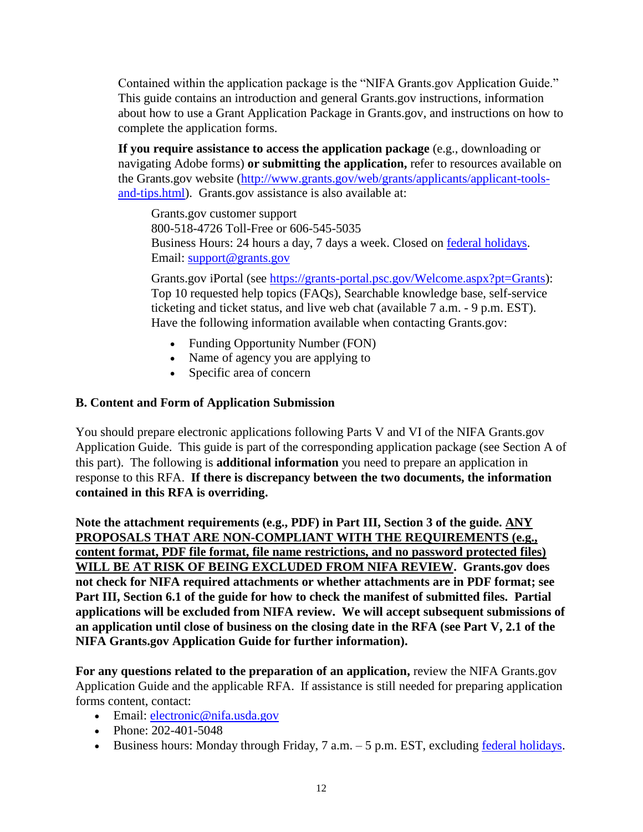Contained within the application package is the "NIFA Grants.gov Application Guide." This guide contains an introduction and general Grants.gov instructions, information about how to use a Grant Application Package in Grants.gov, and instructions on how to complete the application forms.

**If you require assistance to access the application package** (e.g., downloading or navigating Adobe forms) **or submitting the application,** refer to resources available on the Grants.gov website [\(http://www.grants.gov/web/grants/applicants/applicant-tools](http://www.grants.gov/web/grants/applicants/applicant-tools-and-tips.html)[and-tips.html\)](http://www.grants.gov/web/grants/applicants/applicant-tools-and-tips.html). Grants.gov assistance is also available at:

Grants.gov customer support 800-518-4726 Toll-Free or 606-545-5035 Business Hours: 24 hours a day, 7 days a week. Closed on [federal holidays.](http://www.opm.gov/policy-data-oversight/snow-dismissal-procedures/federal-holidays/) Email: [support@grants.gov](mailto:support@grants.gov)

Grants.gov iPortal (see [https://grants-portal.psc.gov/Welcome.aspx?pt=Grants\)](https://grants-portal.psc.gov/Welcome.aspx?pt=Grants): Top 10 requested help topics (FAQs), Searchable knowledge base, self-service ticketing and ticket status, and live web chat (available 7 a.m. - 9 p.m. EST). Have the following information available when contacting Grants.gov:

- Funding Opportunity Number (FON)
- Name of agency you are applying to
- Specific area of concern

#### <span id="page-11-0"></span>**B. Content and Form of Application Submission**

You should prepare electronic applications following Parts V and VI of the NIFA Grants.gov Application Guide. This guide is part of the corresponding application package (see Section A of this part). The following is **additional information** you need to prepare an application in response to this RFA. **If there is discrepancy between the two documents, the information contained in this RFA is overriding.**

**Note the attachment requirements (e.g., PDF) in Part III, Section 3 of the guide. ANY PROPOSALS THAT ARE NON-COMPLIANT WITH THE REQUIREMENTS (e.g., content format, PDF file format, file name restrictions, and no password protected files) WILL BE AT RISK OF BEING EXCLUDED FROM NIFA REVIEW. Grants.gov does not check for NIFA required attachments or whether attachments are in PDF format; see Part III, Section 6.1 of the guide for how to check the manifest of submitted files. Partial applications will be excluded from NIFA review. We will accept subsequent submissions of an application until close of business on the closing date in the RFA (see Part V, 2.1 of the NIFA Grants.gov Application Guide for further information).**

**For any questions related to the preparation of an application,** review the NIFA Grants.gov Application Guide and the applicable RFA. If assistance is still needed for preparing application forms content, contact:

- Email: electronic@nifa.usda.gov
- Phone: 202-401-5048
- Business hours: Monday through Friday,  $7$  a.m.  $-5$  p.m. EST, excluding [federal holidays.](https://www.opm.gov/policy-data-oversight/snow-dismissal-procedures/federal-holidays/)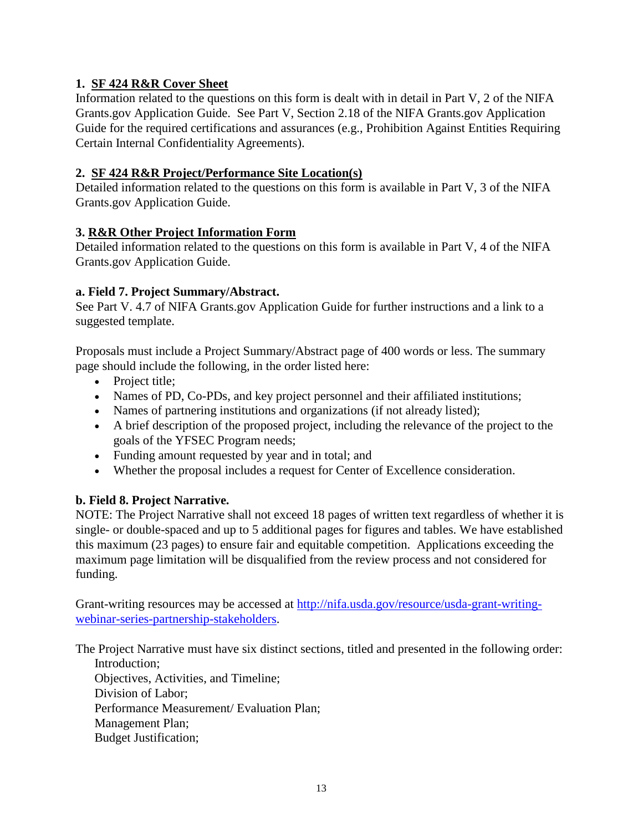#### **1. SF 424 R&R Cover Sheet**

Information related to the questions on this form is dealt with in detail in Part V, 2 of the NIFA Grants.gov Application Guide. See Part V, Section 2.18 of the NIFA Grants.gov Application Guide for the required certifications and assurances (e.g., Prohibition Against Entities Requiring Certain Internal Confidentiality Agreements).

#### **2. SF 424 R&R Project/Performance Site Location(s)**

Detailed information related to the questions on this form is available in Part V, 3 of the NIFA Grants.gov Application Guide.

#### **3. R&R Other Project Information Form**

Detailed information related to the questions on this form is available in Part V, 4 of the NIFA Grants.gov Application Guide.

#### **a. Field 7. Project Summary/Abstract.**

See Part V. 4.7 of NIFA Grants.gov Application Guide for further instructions and a link to a suggested template.

Proposals must include a Project Summary/Abstract page of 400 words or less. The summary page should include the following, in the order listed here:

- Project title;
- Names of PD, Co-PDs, and key project personnel and their affiliated institutions;
- Names of partnering institutions and organizations (if not already listed);
- A brief description of the proposed project, including the relevance of the project to the goals of the YFSEC Program needs;
- Funding amount requested by year and in total; and
- Whether the proposal includes a request for Center of Excellence consideration.

#### **b. Field 8. Project Narrative.**

NOTE: The Project Narrative shall not exceed 18 pages of written text regardless of whether it is single- or double-spaced and up to 5 additional pages for figures and tables. We have established this maximum (23 pages) to ensure fair and equitable competition. Applications exceeding the maximum page limitation will be disqualified from the review process and not considered for funding.

Grant-writing resources may be accessed at [http://nifa.usda.gov/resource/usda-grant-writing](http://nifa.usda.gov/resource/usda-grant-writing-webinar-series-partnership-stakeholders)[webinar-series-partnership-stakeholders.](http://nifa.usda.gov/resource/usda-grant-writing-webinar-series-partnership-stakeholders)

The Project Narrative must have six distinct sections, titled and presented in the following order: Introduction;

Objectives, Activities, and Timeline; Division of Labor; Performance Measurement/ Evaluation Plan; Management Plan; Budget Justification;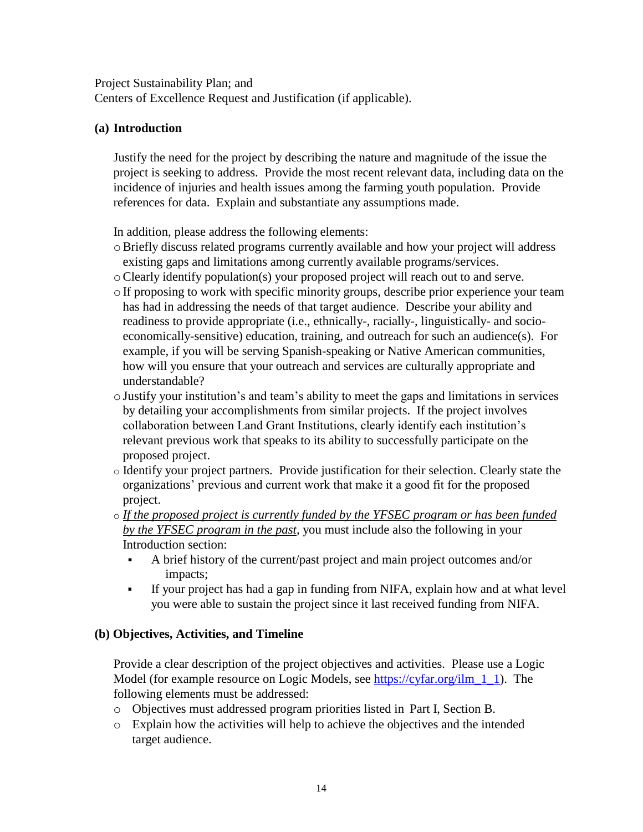Project Sustainability Plan; and

Centers of Excellence Request and Justification (if applicable).

#### **(a) Introduction**

Justify the need for the project by describing the nature and magnitude of the issue the project is seeking to address. Provide the most recent relevant data, including data on the incidence of injuries and health issues among the farming youth population. Provide references for data. Explain and substantiate any assumptions made.

In addition, please address the following elements:

- $\circ$  Briefly discuss related programs currently available and how your project will address existing gaps and limitations among currently available programs/services.
- oClearly identify population(s) your proposed project will reach out to and serve.
- $\circ$  If proposing to work with specific minority groups, describe prior experience your team has had in addressing the needs of that target audience. Describe your ability and readiness to provide appropriate (i.e., ethnically-, racially-, linguistically- and socioeconomically-sensitive) education, training, and outreach for such an audience(s). For example, if you will be serving Spanish-speaking or Native American communities, how will you ensure that your outreach and services are culturally appropriate and understandable?
- $\circ$  Justify your institution's and team's ability to meet the gaps and limitations in services by detailing your accomplishments from similar projects. If the project involves collaboration between Land Grant Institutions, clearly identify each institution's relevant previous work that speaks to its ability to successfully participate on the proposed project.
- o Identify your project partners. Provide justification for their selection. Clearly state the organizations' previous and current work that make it a good fit for the proposed project.
- o *If the proposed project is currently funded by the YFSEC program or has been funded by the YFSEC program in the past,* you must include also the following in your Introduction section:
	- A brief history of the current/past project and main project outcomes and/or impacts;
	- If your project has had a gap in funding from NIFA, explain how and at what level you were able to sustain the project since it last received funding from NIFA.

#### **(b) Objectives, Activities, and Timeline**

Provide a clear description of the project objectives and activities. Please use a Logic Model (for example resource on Logic Models, see https://cyfar.org/ilm 1 1). The following elements must be addressed:

- o Objectives must addressed program priorities listed in Part I, Section B.
- o Explain how the activities will help to achieve the objectives and the intended target audience.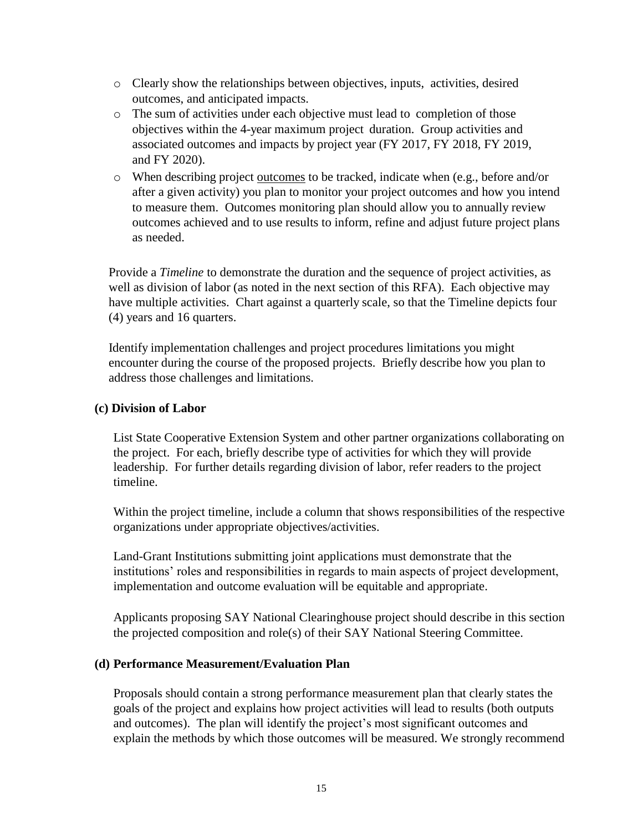- o Clearly show the relationships between objectives, inputs, activities, desired outcomes, and anticipated impacts.
- o The sum of activities under each objective must lead to completion of those objectives within the 4-year maximum project duration. Group activities and associated outcomes and impacts by project year (FY 2017, FY 2018, FY 2019, and FY 2020).
- o When describing project outcomes to be tracked, indicate when (e.g., before and/or after a given activity) you plan to monitor your project outcomes and how you intend to measure them. Outcomes monitoring plan should allow you to annually review outcomes achieved and to use results to inform, refine and adjust future project plans as needed.

Provide a *Timeline* to demonstrate the duration and the sequence of project activities, as well as division of labor (as noted in the next section of this RFA). Each objective may have multiple activities. Chart against a quarterly scale, so that the Timeline depicts four (4) years and 16 quarters.

Identify implementation challenges and project procedures limitations you might encounter during the course of the proposed projects. Briefly describe how you plan to address those challenges and limitations.

#### **(c) Division of Labor**

List State Cooperative Extension System and other partner organizations collaborating on the project. For each, briefly describe type of activities for which they will provide leadership. For further details regarding division of labor, refer readers to the project timeline.

Within the project timeline, include a column that shows responsibilities of the respective organizations under appropriate objectives/activities.

Land-Grant Institutions submitting joint applications must demonstrate that the institutions' roles and responsibilities in regards to main aspects of project development, implementation and outcome evaluation will be equitable and appropriate.

Applicants proposing SAY National Clearinghouse project should describe in this section the projected composition and role(s) of their SAY National Steering Committee.

#### **(d) Performance Measurement/Evaluation Plan**

Proposals should contain a strong performance measurement plan that clearly states the goals of the project and explains how project activities will lead to results (both outputs and outcomes). The plan will identify the project's most significant outcomes and explain the methods by which those outcomes will be measured. We strongly recommend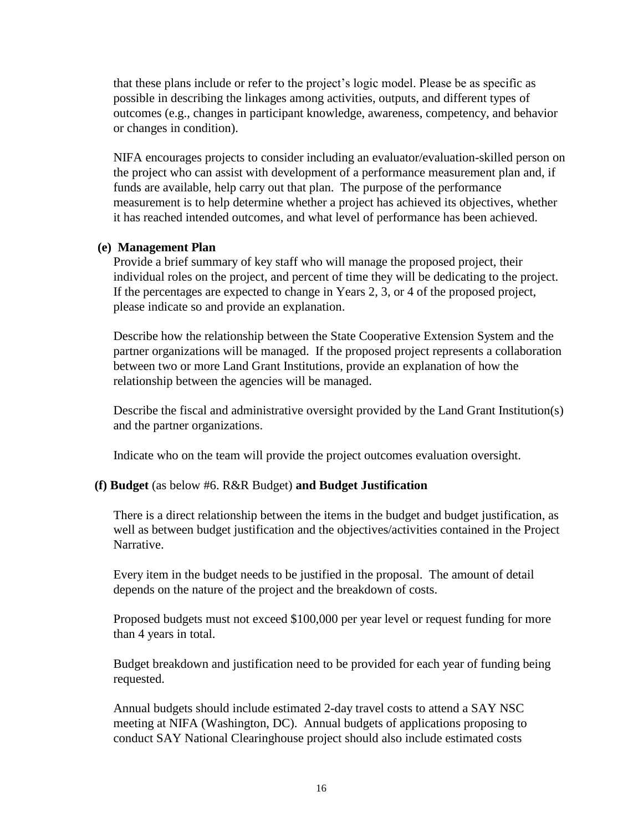that these plans include or refer to the project's logic model. Please be as specific as possible in describing the linkages among activities, outputs, and different types of outcomes (e.g., changes in participant knowledge, awareness, competency, and behavior or changes in condition).

NIFA encourages projects to consider including an evaluator/evaluation-skilled person on the project who can assist with development of a performance measurement plan and, if funds are available, help carry out that plan. The purpose of the performance measurement is to help determine whether a project has achieved its objectives, whether it has reached intended outcomes, and what level of performance has been achieved.

#### **(e) Management Plan**

Provide a brief summary of key staff who will manage the proposed project, their individual roles on the project, and percent of time they will be dedicating to the project. If the percentages are expected to change in Years 2, 3, or 4 of the proposed project, please indicate so and provide an explanation.

Describe how the relationship between the State Cooperative Extension System and the partner organizations will be managed. If the proposed project represents a collaboration between two or more Land Grant Institutions, provide an explanation of how the relationship between the agencies will be managed.

Describe the fiscal and administrative oversight provided by the Land Grant Institution(s) and the partner organizations.

Indicate who on the team will provide the project outcomes evaluation oversight.

#### **(f) Budget** (as below #6. R&R Budget) **and Budget Justification**

There is a direct relationship between the items in the budget and budget justification, as well as between budget justification and the objectives/activities contained in the Project Narrative.

Every item in the budget needs to be justified in the proposal. The amount of detail depends on the nature of the project and the breakdown of costs.

Proposed budgets must not exceed \$100,000 per year level or request funding for more than 4 years in total.

Budget breakdown and justification need to be provided for each year of funding being requested.

Annual budgets should include estimated 2-day travel costs to attend a SAY NSC meeting at NIFA (Washington, DC). Annual budgets of applications proposing to conduct SAY National Clearinghouse project should also include estimated costs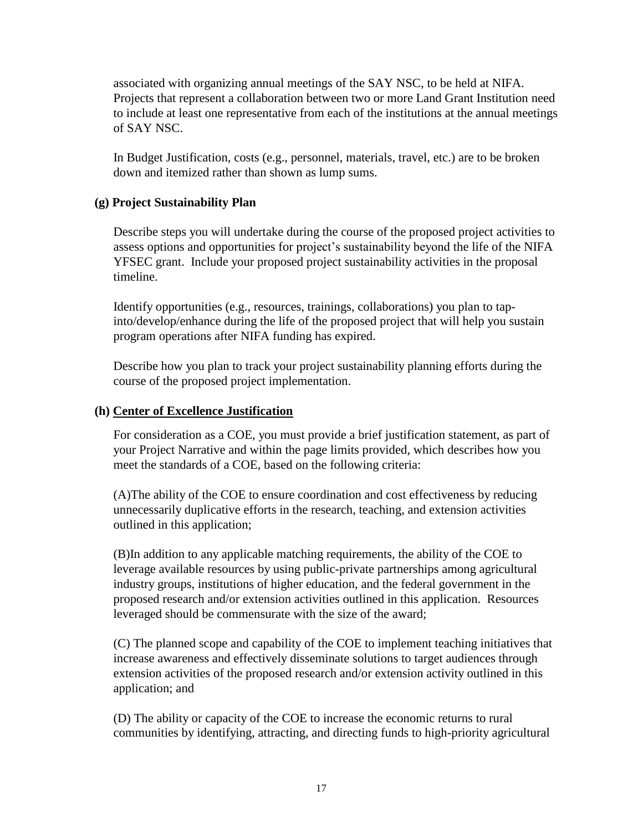associated with organizing annual meetings of the SAY NSC, to be held at NIFA. Projects that represent a collaboration between two or more Land Grant Institution need to include at least one representative from each of the institutions at the annual meetings of SAY NSC.

In Budget Justification, costs (e.g., personnel, materials, travel, etc.) are to be broken down and itemized rather than shown as lump sums.

#### **(g) Project Sustainability Plan**

Describe steps you will undertake during the course of the proposed project activities to assess options and opportunities for project's sustainability beyond the life of the NIFA YFSEC grant. Include your proposed project sustainability activities in the proposal timeline.

Identify opportunities (e.g., resources, trainings, collaborations) you plan to tapinto/develop/enhance during the life of the proposed project that will help you sustain program operations after NIFA funding has expired.

Describe how you plan to track your project sustainability planning efforts during the course of the proposed project implementation.

#### **(h) Center of Excellence Justification**

For consideration as a COE, you must provide a brief justification statement, as part of your Project Narrative and within the page limits provided, which describes how you meet the standards of a COE, based on the following criteria:

(A)The ability of the COE to ensure coordination and cost effectiveness by reducing unnecessarily duplicative efforts in the research, teaching, and extension activities outlined in this application;

(B)In addition to any applicable matching requirements, the ability of the COE to leverage available resources by using public-private partnerships among agricultural industry groups, institutions of higher education, and the federal government in the proposed research and/or extension activities outlined in this application. Resources leveraged should be commensurate with the size of the award;

(C) The planned scope and capability of the COE to implement teaching initiatives that increase awareness and effectively disseminate solutions to target audiences through extension activities of the proposed research and/or extension activity outlined in this application; and

(D) The ability or capacity of the COE to increase the economic returns to rural communities by identifying, attracting, and directing funds to high-priority agricultural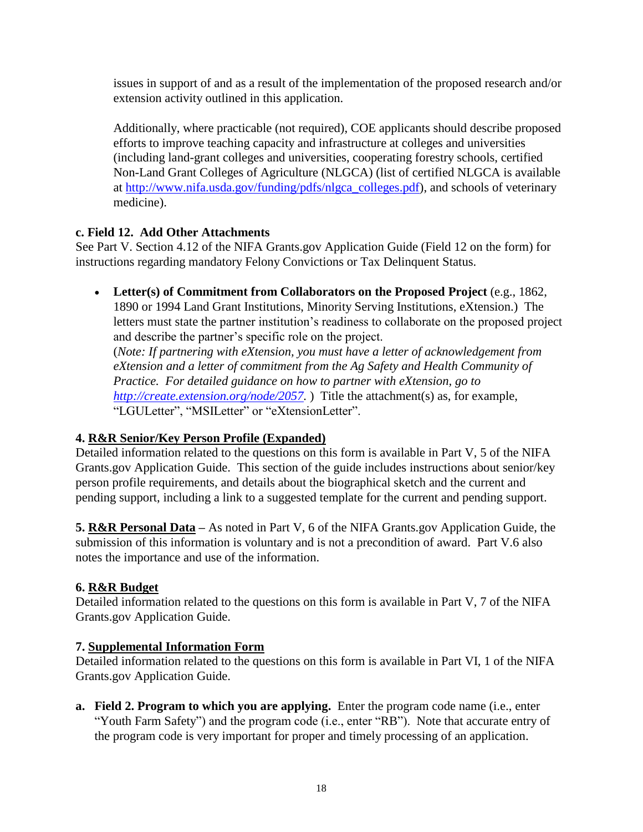issues in support of and as a result of the implementation of the proposed research and/or extension activity outlined in this application.

Additionally, where practicable (not required), COE applicants should describe proposed efforts to improve teaching capacity and infrastructure at colleges and universities (including land-grant colleges and universities, cooperating forestry schools, certified Non-Land Grant Colleges of Agriculture (NLGCA) (list of certified NLGCA is available at [http://www.nifa.usda.gov/funding/pdfs/nlgca\\_colleges.pdf\)](http://www.nifa.usda.gov/funding/pdfs/nlgca_colleges.pdf), and schools of veterinary medicine).

#### **c. Field 12. Add Other Attachments**

See Part V. Section 4.12 of the NIFA Grants.gov Application Guide (Field 12 on the form) for instructions regarding mandatory Felony Convictions or Tax Delinquent Status.

 **Letter(s) of Commitment from Collaborators on the Proposed Project** (e.g., 1862, 1890 or 1994 Land Grant Institutions, Minority Serving Institutions, eXtension.) The letters must state the partner institution's readiness to collaborate on the proposed project and describe the partner's specific role on the project.

(*Note: If partnering with eXtension, you must have a letter of acknowledgement from eXtension and a letter of commitment from the Ag Safety and Health Community of Practice. For detailed guidance on how to partner with eXtension, go to [http://create.extension.org/node/2057.](http://create.extension.org/node/2057)* ) Title the attachment(s) as, for example, "LGULetter", "MSILetter" or "eXtensionLetter".

#### **4. R&R Senior/Key Person Profile (Expanded)**

Detailed information related to the questions on this form is available in Part V, 5 of the NIFA Grants.gov Application Guide. This section of the guide includes instructions about senior/key person profile requirements, and details about the biographical sketch and the current and pending support, including a link to a suggested template for the current and pending support.

**5. R&R Personal Data –** As noted in Part V, 6 of the NIFA Grants.gov Application Guide, the submission of this information is voluntary and is not a precondition of award. Part V.6 also notes the importance and use of the information.

#### **6. R&R Budget**

Detailed information related to the questions on this form is available in Part V, 7 of the NIFA Grants.gov Application Guide.

#### **7. Supplemental Information Form**

Detailed information related to the questions on this form is available in Part VI, 1 of the NIFA Grants.gov Application Guide.

**a. Field 2. Program to which you are applying.** Enter the program code name (i.e., enter "Youth Farm Safety") and the program code (i.e., enter "RB"). Note that accurate entry of the program code is very important for proper and timely processing of an application.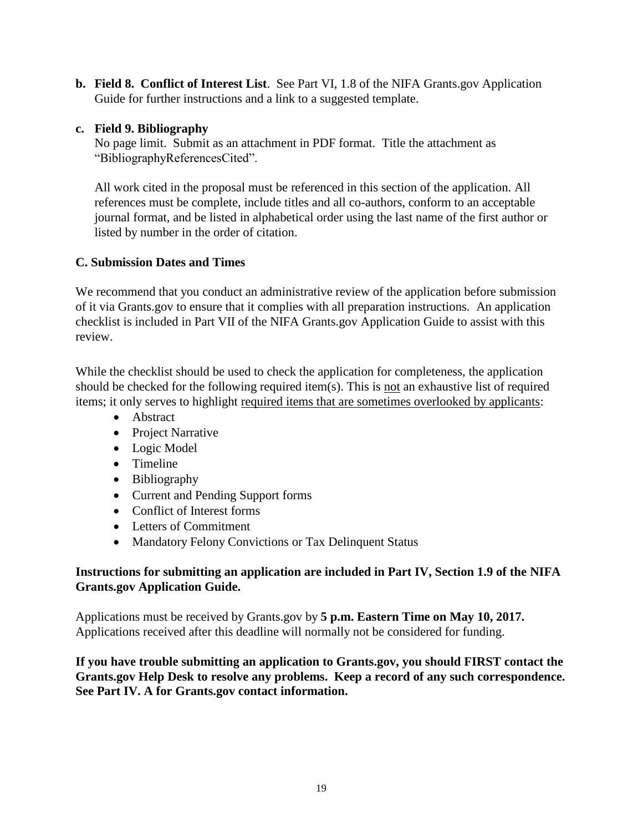**b. Field 8. Conflict of Interest List**. See Part VI, 1.8 of the NIFA Grants.gov Application Guide for further instructions and a link to a suggested template.

#### **c. Field 9. Bibliography**

No page limit. Submit as an attachment in PDF format. Title the attachment as "BibliographyReferencesCited".

All work cited in the proposal must be referenced in this section of the application. All references must be complete, include titles and all co-authors, conform to an acceptable journal format, and be listed in alphabetical order using the last name of the first author or listed by number in the order of citation.

#### <span id="page-18-0"></span>**C. Submission Dates and Times**

We recommend that you conduct an administrative review of the application before submission of it via Grants.gov to ensure that it complies with all preparation instructions. An application checklist is included in Part VII of the NIFA Grants.gov Application Guide to assist with this review.

While the checklist should be used to check the application for completeness, the application should be checked for the following required item(s). This is not an exhaustive list of required items; it only serves to highlight required items that are sometimes overlooked by applicants:

- Abstract
- Project Narrative
- Logic Model
- Timeline
- Bibliography
- Current and Pending Support forms
- Conflict of Interest forms
- Letters of Commitment
- Mandatory Felony Convictions or Tax Delinquent Status

#### **Instructions for submitting an application are included in Part IV, Section 1.9 of the NIFA Grants.gov Application Guide.**

Applications must be received by Grants.gov by **5 p.m. Eastern Time on May 10, 2017.** Applications received after this deadline will normally not be considered for funding.

**If you have trouble submitting an application to Grants.gov, you should FIRST contact the Grants.gov Help Desk to resolve any problems. Keep a record of any such correspondence. See Part IV. A for Grants.gov contact information.**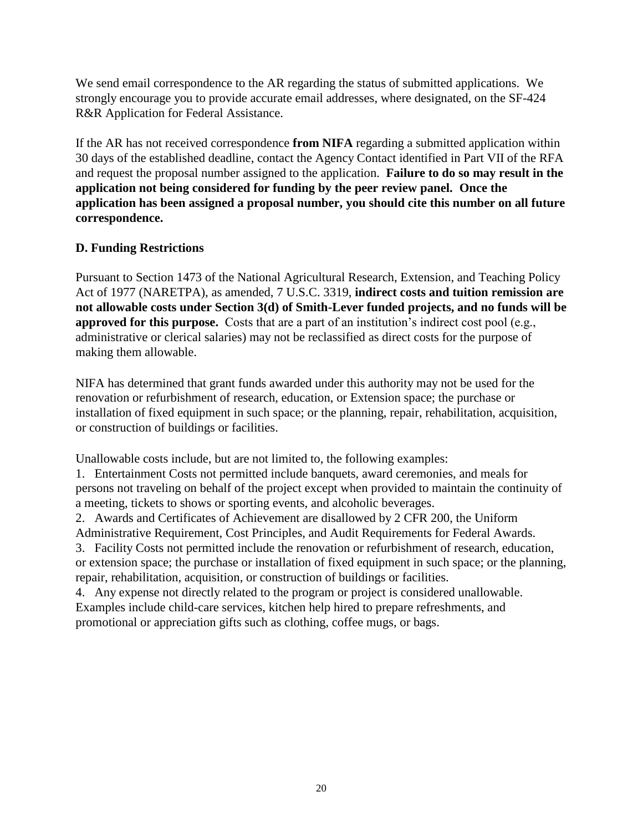We send email correspondence to the AR regarding the status of submitted applications. We strongly encourage you to provide accurate email addresses, where designated, on the SF-424 R&R Application for Federal Assistance.

If the AR has not received correspondence **from NIFA** regarding a submitted application within 30 days of the established deadline, contact the Agency Contact identified in Part VII of the RFA and request the proposal number assigned to the application. **Failure to do so may result in the application not being considered for funding by the peer review panel. Once the application has been assigned a proposal number, you should cite this number on all future correspondence.**

#### <span id="page-19-0"></span>**D. Funding Restrictions**

Pursuant to Section 1473 of the National Agricultural Research, Extension, and Teaching Policy Act of 1977 (NARETPA), as amended, 7 U.S.C. 3319, **indirect costs and tuition remission are not allowable costs under Section 3(d) of Smith-Lever funded projects, and no funds will be approved for this purpose.** Costs that are a part of an institution's indirect cost pool (e.g., administrative or clerical salaries) may not be reclassified as direct costs for the purpose of making them allowable.

NIFA has determined that grant funds awarded under this authority may not be used for the renovation or refurbishment of research, education, or Extension space; the purchase or installation of fixed equipment in such space; or the planning, repair, rehabilitation, acquisition, or construction of buildings or facilities.

Unallowable costs include, but are not limited to, the following examples:

1. Entertainment Costs not permitted include banquets, award ceremonies, and meals for persons not traveling on behalf of the project except when provided to maintain the continuity of a meeting, tickets to shows or sporting events, and alcoholic beverages.

2. Awards and Certificates of Achievement are disallowed by 2 CFR 200, the Uniform

Administrative Requirement, Cost Principles, and Audit Requirements for Federal Awards.

3. Facility Costs not permitted include the renovation or refurbishment of research, education, or extension space; the purchase or installation of fixed equipment in such space; or the planning, repair, rehabilitation, acquisition, or construction of buildings or facilities.

<span id="page-19-1"></span>4. Any expense not directly related to the program or project is considered unallowable. Examples include child-care services, kitchen help hired to prepare refreshments, and promotional or appreciation gifts such as clothing, coffee mugs, or bags.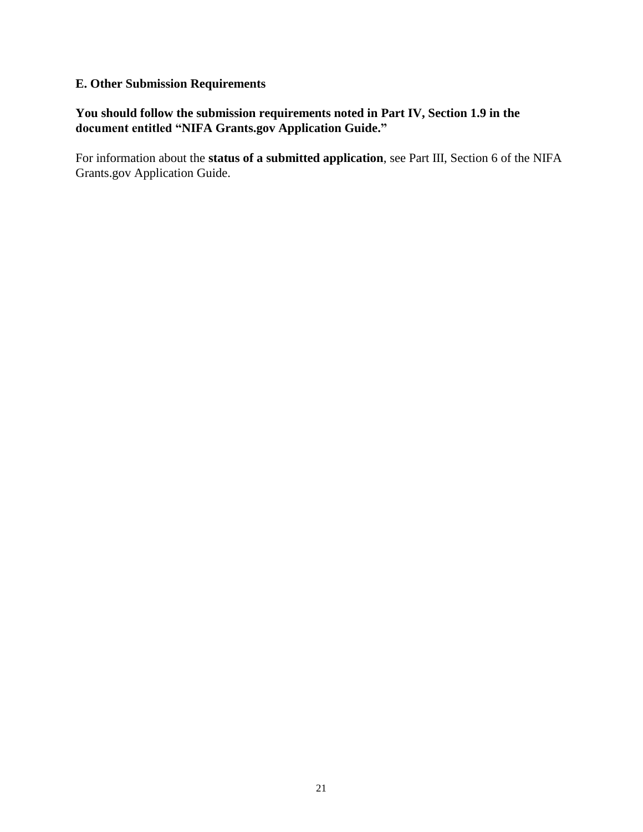#### **E. Other Submission Requirements**

#### **You should follow the submission requirements noted in Part IV, Section 1.9 in the document entitled "NIFA Grants.gov Application Guide."**

For information about the **status of a submitted application**, see Part III, Section 6 of the NIFA Grants.gov Application Guide.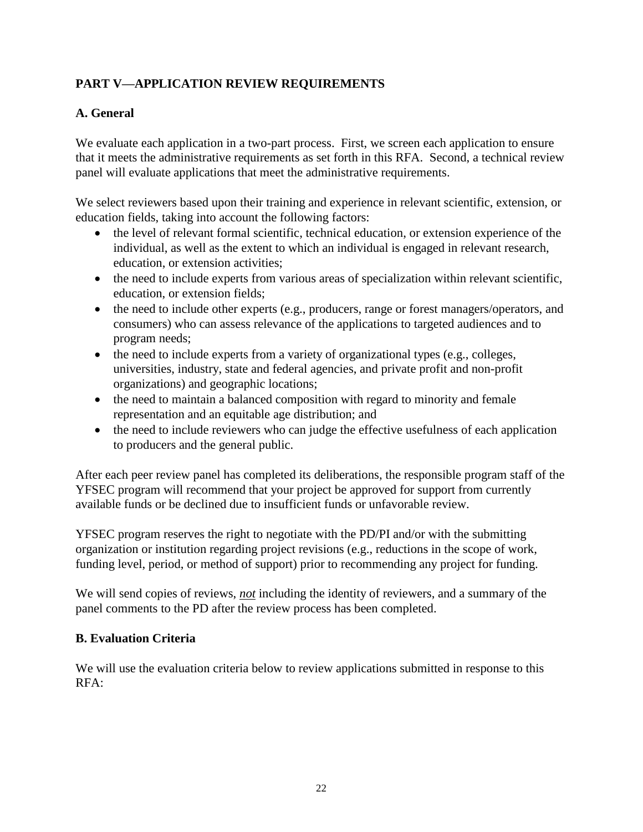### <span id="page-21-0"></span>**PART V—APPLICATION REVIEW REQUIREMENTS**

#### <span id="page-21-1"></span>**A. General**

We evaluate each application in a two-part process. First, we screen each application to ensure that it meets the administrative requirements as set forth in this RFA. Second, a technical review panel will evaluate applications that meet the administrative requirements.

We select reviewers based upon their training and experience in relevant scientific, extension, or education fields, taking into account the following factors:

- the level of relevant formal scientific, technical education, or extension experience of the individual, as well as the extent to which an individual is engaged in relevant research, education, or extension activities;
- the need to include experts from various areas of specialization within relevant scientific, education, or extension fields;
- the need to include other experts (e.g., producers, range or forest managers/operators, and consumers) who can assess relevance of the applications to targeted audiences and to program needs;
- the need to include experts from a variety of organizational types (e.g., colleges, universities, industry, state and federal agencies, and private profit and non-profit organizations) and geographic locations;
- the need to maintain a balanced composition with regard to minority and female representation and an equitable age distribution; and
- the need to include reviewers who can judge the effective usefulness of each application to producers and the general public.

After each peer review panel has completed its deliberations, the responsible program staff of the YFSEC program will recommend that your project be approved for support from currently available funds or be declined due to insufficient funds or unfavorable review.

YFSEC program reserves the right to negotiate with the PD/PI and/or with the submitting organization or institution regarding project revisions (e.g., reductions in the scope of work, funding level, period, or method of support) prior to recommending any project for funding.

We will send copies of reviews, *not* including the identity of reviewers, and a summary of the panel comments to the PD after the review process has been completed.

#### <span id="page-21-2"></span>**B. Evaluation Criteria**

We will use the evaluation criteria below to review applications submitted in response to this RFA: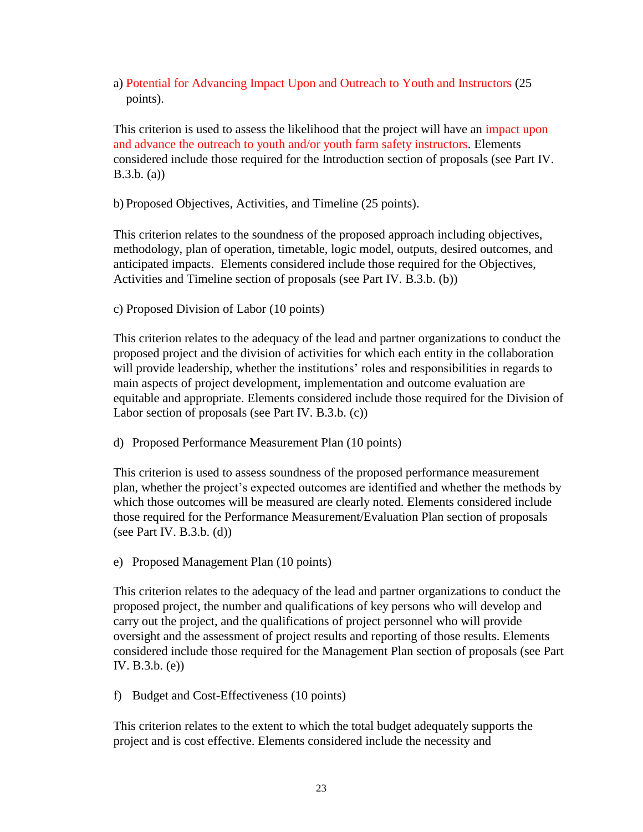#### a) Potential for Advancing Impact Upon and Outreach to Youth and Instructors (25 points).

This criterion is used to assess the likelihood that the project will have an impact upon and advance the outreach to youth and/or youth farm safety instructors. Elements considered include those required for the Introduction section of proposals (see Part IV. B.3.b. (a))

b) Proposed Objectives, Activities, and Timeline (25 points).

This criterion relates to the soundness of the proposed approach including objectives, methodology, plan of operation, timetable, logic model, outputs, desired outcomes, and anticipated impacts. Elements considered include those required for the Objectives, Activities and Timeline section of proposals (see Part IV. B.3.b. (b))

c) Proposed Division of Labor (10 points)

This criterion relates to the adequacy of the lead and partner organizations to conduct the proposed project and the division of activities for which each entity in the collaboration will provide leadership, whether the institutions' roles and responsibilities in regards to main aspects of project development, implementation and outcome evaluation are equitable and appropriate. Elements considered include those required for the Division of Labor section of proposals (see Part IV. B.3.b. (c))

d) Proposed Performance Measurement Plan (10 points)

This criterion is used to assess soundness of the proposed performance measurement plan, whether the project's expected outcomes are identified and whether the methods by which those outcomes will be measured are clearly noted. Elements considered include those required for the Performance Measurement/Evaluation Plan section of proposals (see Part IV. B.3.b. (d))

e) Proposed Management Plan (10 points)

This criterion relates to the adequacy of the lead and partner organizations to conduct the proposed project, the number and qualifications of key persons who will develop and carry out the project, and the qualifications of project personnel who will provide oversight and the assessment of project results and reporting of those results. Elements considered include those required for the Management Plan section of proposals (see Part IV. B.3.b. (e))

f) Budget and Cost-Effectiveness (10 points)

This criterion relates to the extent to which the total budget adequately supports the project and is cost effective. Elements considered include the necessity and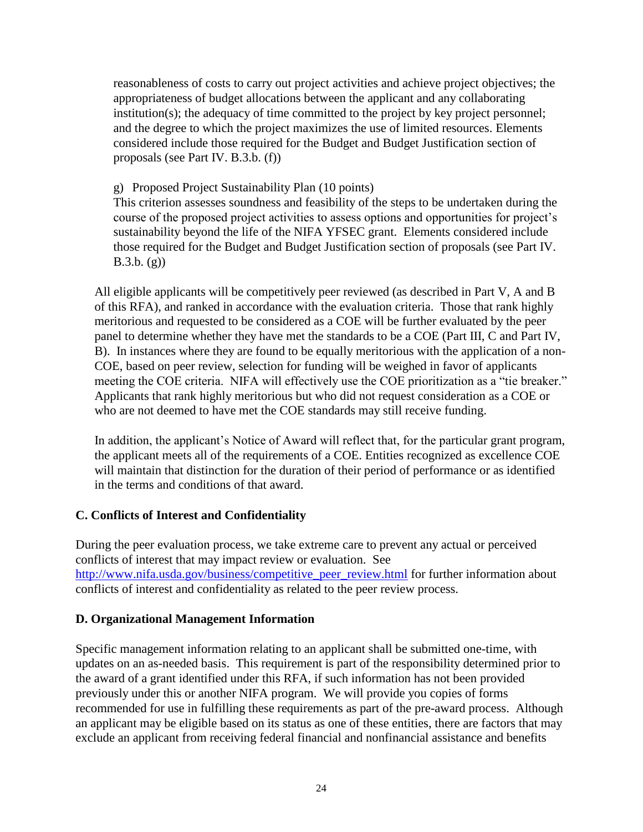reasonableness of costs to carry out project activities and achieve project objectives; the appropriateness of budget allocations between the applicant and any collaborating institution(s); the adequacy of time committed to the project by key project personnel; and the degree to which the project maximizes the use of limited resources. Elements considered include those required for the Budget and Budget Justification section of proposals (see Part IV. B.3.b. (f))

g) Proposed Project Sustainability Plan (10 points)

This criterion assesses soundness and feasibility of the steps to be undertaken during the course of the proposed project activities to assess options and opportunities for project's sustainability beyond the life of the NIFA YFSEC grant. Elements considered include those required for the Budget and Budget Justification section of proposals (see Part IV. B.3.b. (g))

All eligible applicants will be competitively peer reviewed (as described in Part V, A and B of this RFA), and ranked in accordance with the evaluation criteria. Those that rank highly meritorious and requested to be considered as a COE will be further evaluated by the peer panel to determine whether they have met the standards to be a COE (Part III, C and Part IV, B). In instances where they are found to be equally meritorious with the application of a non-COE, based on peer review, selection for funding will be weighed in favor of applicants meeting the COE criteria. NIFA will effectively use the COE prioritization as a "tie breaker." Applicants that rank highly meritorious but who did not request consideration as a COE or who are not deemed to have met the COE standards may still receive funding.

In addition, the applicant's Notice of Award will reflect that, for the particular grant program, the applicant meets all of the requirements of a COE. Entities recognized as excellence COE will maintain that distinction for the duration of their period of performance or as identified in the terms and conditions of that award.

#### <span id="page-23-0"></span>**C. Conflicts of Interest and Confidentiality**

During the peer evaluation process, we take extreme care to prevent any actual or perceived conflicts of interest that may impact review or evaluation. See [http://www.nifa.usda.gov/business/competitive\\_peer\\_review.html](http://www.nifa.usda.gov/business/competitive_peer_review.html) for further information about conflicts of interest and confidentiality as related to the peer review process.

#### <span id="page-23-1"></span>**D. Organizational Management Information**

Specific management information relating to an applicant shall be submitted one-time, with updates on an as-needed basis. This requirement is part of the responsibility determined prior to the award of a grant identified under this RFA, if such information has not been provided previously under this or another NIFA program. We will provide you copies of forms recommended for use in fulfilling these requirements as part of the pre-award process. Although an applicant may be eligible based on its status as one of these entities, there are factors that may exclude an applicant from receiving federal financial and nonfinancial assistance and benefits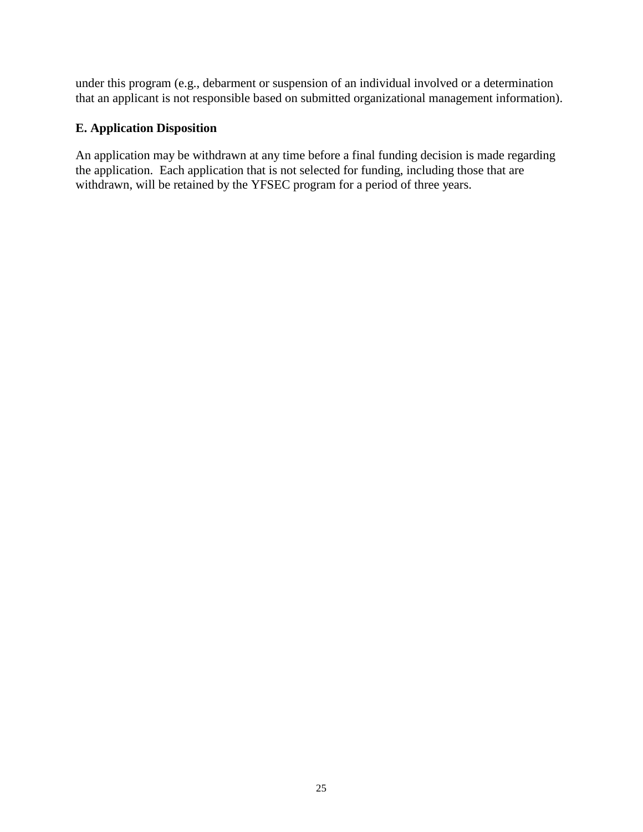under this program (e.g., debarment or suspension of an individual involved or a determination that an applicant is not responsible based on submitted organizational management information).

#### <span id="page-24-0"></span>**E. Application Disposition**

An application may be withdrawn at any time before a final funding decision is made regarding the application. Each application that is not selected for funding, including those that are withdrawn, will be retained by the YFSEC program for a period of three years.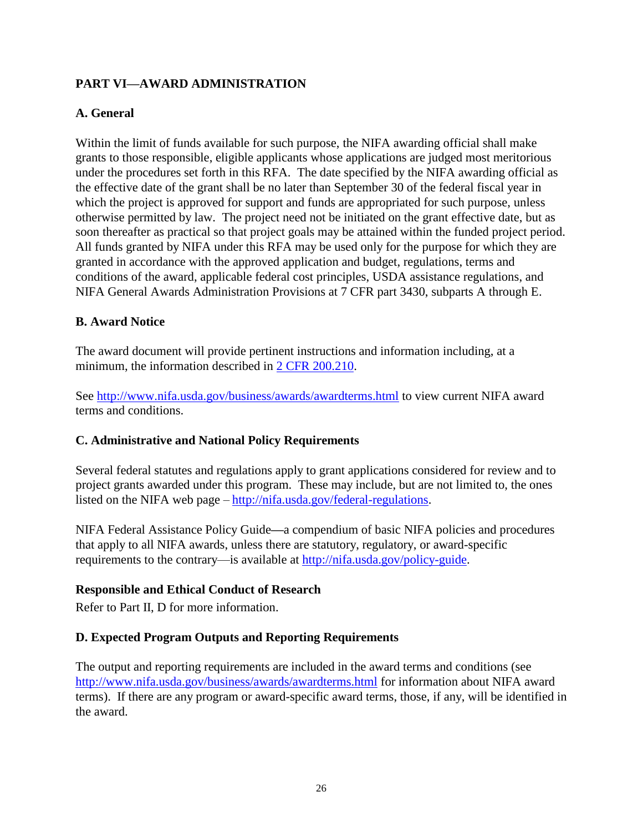#### <span id="page-25-0"></span>**PART VI—AWARD ADMINISTRATION**

#### <span id="page-25-1"></span>**A. General**

Within the limit of funds available for such purpose, the NIFA awarding official shall make grants to those responsible, eligible applicants whose applications are judged most meritorious under the procedures set forth in this RFA. The date specified by the NIFA awarding official as the effective date of the grant shall be no later than September 30 of the federal fiscal year in which the project is approved for support and funds are appropriated for such purpose, unless otherwise permitted by law. The project need not be initiated on the grant effective date, but as soon thereafter as practical so that project goals may be attained within the funded project period. All funds granted by NIFA under this RFA may be used only for the purpose for which they are granted in accordance with the approved application and budget, regulations, terms and conditions of the award, applicable federal cost principles, USDA assistance regulations, and NIFA General Awards Administration Provisions at 7 CFR part 3430, subparts A through E.

#### <span id="page-25-2"></span>**B. Award Notice**

The award document will provide pertinent instructions and information including, at a minimum, the information described in [2 CFR 200.210.](http://www.ecfr.gov/cgi-bin/text-idx?SID=70b44cfc44976f4a7742464f7cfbb37e&mc=true&node=se2.1.200_1210&rgn=div8)

See<http://www.nifa.usda.gov/business/awards/awardterms.html> to view current NIFA award terms and conditions.

#### <span id="page-25-3"></span>**C. Administrative and National Policy Requirements**

Several federal statutes and regulations apply to grant applications considered for review and to project grants awarded under this program. These may include, but are not limited to, the ones listed on the NIFA web page – [http://nifa.usda.gov/federal-regulations.](http://nifa.usda.gov/federal-regulations)

NIFA Federal Assistance Policy Guide**—**a compendium of basic NIFA policies and procedures that apply to all NIFA awards, unless there are statutory, regulatory, or award-specific requirements to the contrary—is available at [http://nifa.usda.gov/policy-guide.](http://nifa.usda.gov/policy-guide)

#### **Responsible and Ethical Conduct of Research**

Refer to Part II, D for more information.

#### <span id="page-25-4"></span>**D. Expected Program Outputs and Reporting Requirements**

The output and reporting requirements are included in the award terms and conditions (see <http://www.nifa.usda.gov/business/awards/awardterms.html> for information about NIFA award terms). If there are any program or award-specific award terms, those, if any, will be identified in the award.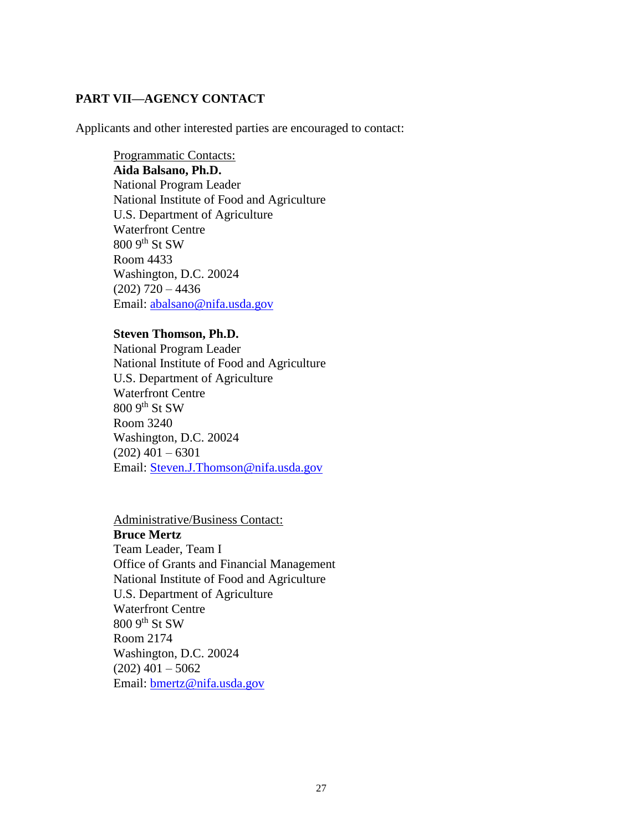#### <span id="page-26-0"></span>**PART VII—AGENCY CONTACT**

Applicants and other interested parties are encouraged to contact:

Programmatic Contacts: **Aida Balsano, Ph.D.**  National Program Leader National Institute of Food and Agriculture U.S. Department of Agriculture Waterfront Centre 800 9th St SW Room 4433 Washington, D.C. 20024  $(202)$  720 – 4436 Email: [abalsano@nifa.usda.gov](mailto:abalsano@nifa.usda.gov)

#### **Steven Thomson, Ph.D.**

National Program Leader National Institute of Food and Agriculture U.S. Department of Agriculture Waterfront Centre  $8009$ <sup>th</sup> St SW Room 3240 Washington, D.C. 20024  $(202)$  401 – 6301 Email: [Steven.J.Thomson@nifa.usda.gov](mailto:Steven.J.Thomson@nifa.usda.gov)

Administrative/Business Contact: **Bruce Mertz**  Team Leader, Team I Office of Grants and Financial Management National Institute of Food and Agriculture U.S. Department of Agriculture Waterfront Centre 800 9th St SW Room 2174 Washington, D.C. 20024  $(202)$  401 – 5062 Email: [bmertz@nifa.usda.gov](mailto:bmertz@nifa.usda.gov)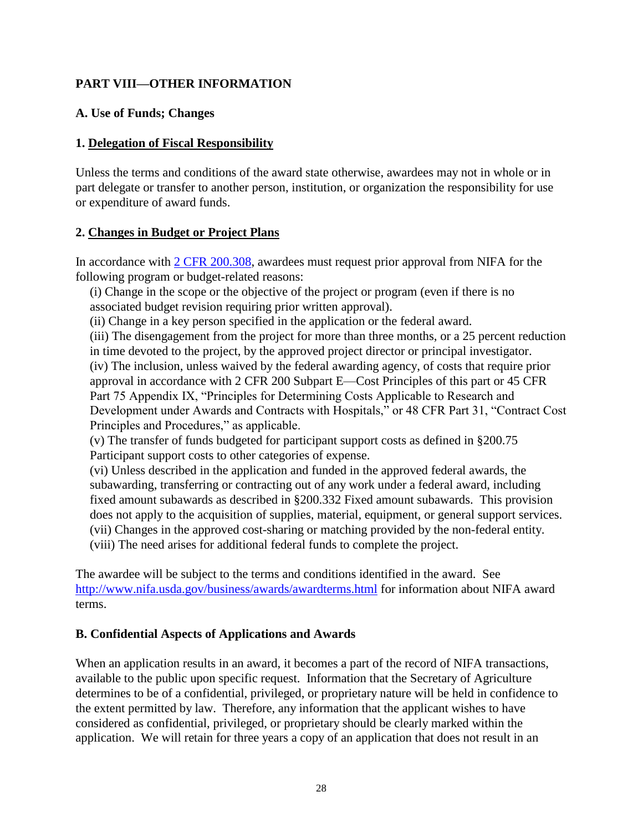#### <span id="page-27-0"></span>**PART VIII—OTHER INFORMATION**

#### <span id="page-27-1"></span>**A. Use of Funds; Changes**

#### **1. Delegation of Fiscal Responsibility**

Unless the terms and conditions of the award state otherwise, awardees may not in whole or in part delegate or transfer to another person, institution, or organization the responsibility for use or expenditure of award funds.

#### **2. Changes in Budget or Project Plans**

In accordance with [2 CFR 200.308,](http://www.ecfr.gov/cgi-bin/text-idx?SID=3af89506559b05297e7d0334cb283e24&mc=true&node=se2.1.200_1308&rgn=div8) awardees must request prior approval from NIFA for the following program or budget-related reasons:

(i) Change in the scope or the objective of the project or program (even if there is no associated budget revision requiring prior written approval).

(ii) Change in a key person specified in the application or the federal award.

(iii) The disengagement from the project for more than three months, or a 25 percent reduction in time devoted to the project, by the approved project director or principal investigator. (iv) The inclusion, unless waived by the federal awarding agency, of costs that require prior approval in accordance with 2 CFR 200 Subpart E—Cost Principles of this part or 45 CFR Part 75 Appendix IX, "Principles for Determining Costs Applicable to Research and Development under Awards and Contracts with Hospitals," or 48 CFR Part 31, "Contract Cost Principles and Procedures," as applicable.

(v) The transfer of funds budgeted for participant support costs as defined in §200.75 Participant support costs to other categories of expense.

(vi) Unless described in the application and funded in the approved federal awards, the subawarding, transferring or contracting out of any work under a federal award, including fixed amount subawards as described in §200.332 Fixed amount subawards. This provision does not apply to the acquisition of supplies, material, equipment, or general support services. (vii) Changes in the approved cost-sharing or matching provided by the non-federal entity. (viii) The need arises for additional federal funds to complete the project.

The awardee will be subject to the terms and conditions identified in the award. See <http://www.nifa.usda.gov/business/awards/awardterms.html> for information about NIFA award terms.

#### <span id="page-27-2"></span>**B. Confidential Aspects of Applications and Awards**

When an application results in an award, it becomes a part of the record of NIFA transactions, available to the public upon specific request. Information that the Secretary of Agriculture determines to be of a confidential, privileged, or proprietary nature will be held in confidence to the extent permitted by law. Therefore, any information that the applicant wishes to have considered as confidential, privileged, or proprietary should be clearly marked within the application. We will retain for three years a copy of an application that does not result in an